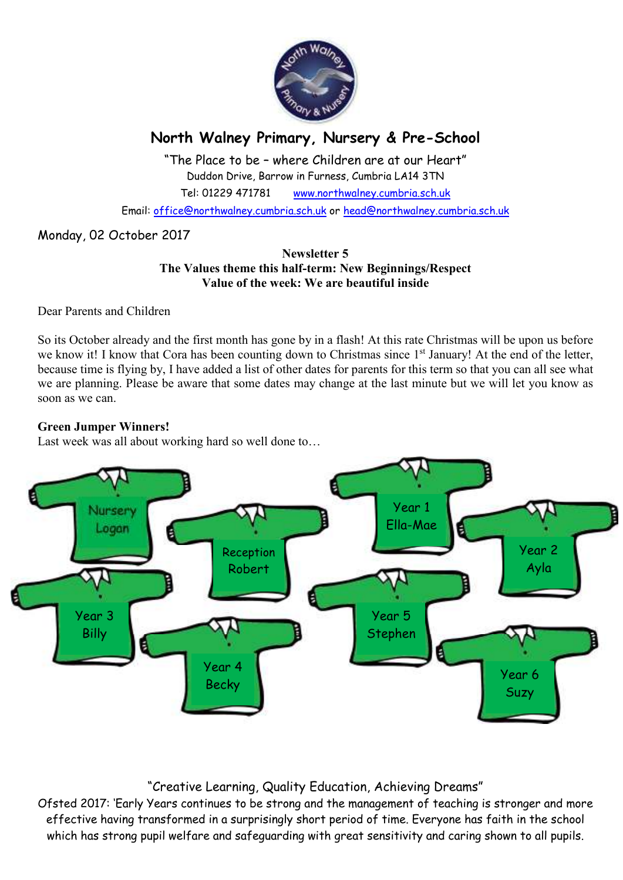

# **North Walney Primary, Nursery & Pre-School**

"The Place to be – where Children are at our Heart" Duddon Drive, Barrow in Furness, Cumbria LA14 3TN Tel: 01229 471781 www.northwalney.cumbria.sch.uk

Email: office@northwalney.cumbria.sch.uk or head@northwalney.cumbria.sch.uk

### Monday, 02 October 2017

#### **Newsletter 5 The Values theme this half-term: New Beginnings/Respect Value of the week: We are beautiful inside**

Dear Parents and Children

So its October already and the first month has gone by in a flash! At this rate Christmas will be upon us before we know it! I know that Cora has been counting down to Christmas since 1<sup>st</sup> January! At the end of the letter, because time is flying by, I have added a list of other dates for parents for this term so that you can all see what we are planning. Please be aware that some dates may change at the last minute but we will let you know as soon as we can.

#### **Green Jumper Winners!**

Last week was all about working hard so well done to…



## "Creative Learning, Quality Education, Achieving Dreams"

Ofsted 2017: 'Early Years continues to be strong and the management of teaching is stronger and more effective having transformed in a surprisingly short period of time. Everyone has faith in the school which has strong pupil welfare and safeguarding with great sensitivity and caring shown to all pupils.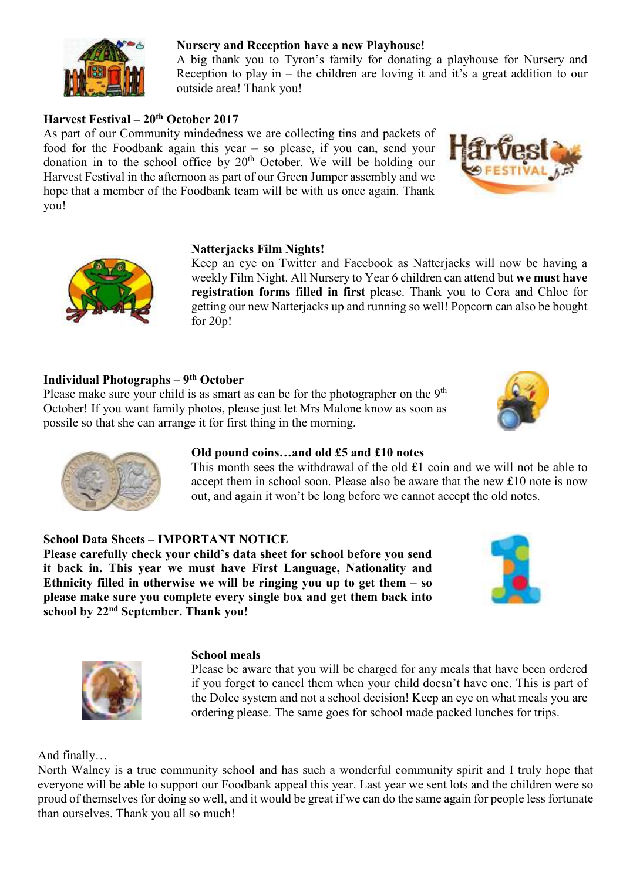

### **Nursery and Reception have a new Playhouse!**

A big thank you to Tyron's family for donating a playhouse for Nursery and Reception to play in – the children are loving it and it's a great addition to our outside area! Thank you!

### **Harvest Festival – 20th October 2017**

As part of our Community mindedness we are collecting tins and packets of food for the Foodbank again this year – so please, if you can, send your donation in to the school office by  $20<sup>th</sup>$  October. We will be holding our Harvest Festival in the afternoon as part of our Green Jumper assembly and we hope that a member of the Foodbank team will be with us once again. Thank you!





#### **Natterjacks Film Nights!**

Keep an eye on Twitter and Facebook as Natterjacks will now be having a weekly Film Night. All Nursery to Year 6 children can attend but **we must have registration forms filled in first** please. Thank you to Cora and Chloe for getting our new Natterjacks up and running so well! Popcorn can also be bought for 20p!

#### **Individual Photographs – 9th October**

Please make sure your child is as smart as can be for the photographer on the 9<sup>th</sup> October! If you want family photos, please just let Mrs Malone know as soon as possile so that she can arrange it for first thing in the morning.





#### **Old pound coins…and old £5 and £10 notes**

This month sees the withdrawal of the old £1 coin and we will not be able to accept them in school soon. Please also be aware that the new £10 note is now out, and again it won't be long before we cannot accept the old notes.

#### **School Data Sheets – IMPORTANT NOTICE**

**Please carefully check your child's data sheet for school before you send it back in. This year we must have First Language, Nationality and Ethnicity filled in otherwise we will be ringing you up to get them – so please make sure you complete every single box and get them back into school by 22nd September. Thank you!** 





#### **School meals**

Please be aware that you will be charged for any meals that have been ordered if you forget to cancel them when your child doesn't have one. This is part of the Dolce system and not a school decision! Keep an eye on what meals you are ordering please. The same goes for school made packed lunches for trips.

And finally…

North Walney is a true community school and has such a wonderful community spirit and I truly hope that everyone will be able to support our Foodbank appeal this year. Last year we sent lots and the children were so proud of themselves for doing so well, and it would be great if we can do the same again for people less fortunate than ourselves. Thank you all so much!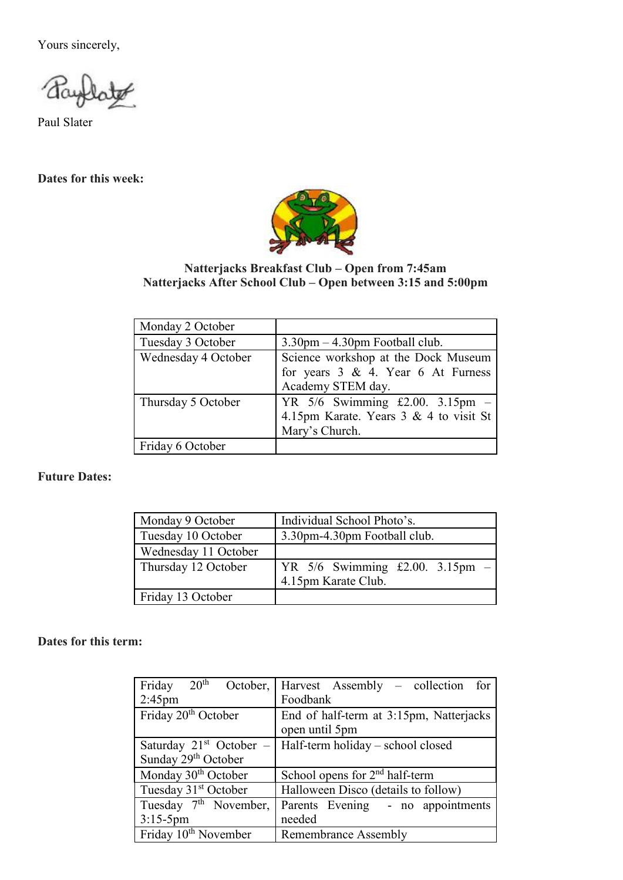Yours sincerely,

Paul Slater

### **Dates for this week:**



#### **Natterjacks Breakfast Club – Open from 7:45am Natterjacks After School Club – Open between 3:15 and 5:00pm**

| Monday 2 October    |                                           |
|---------------------|-------------------------------------------|
| Tuesday 3 October   | $3.30$ pm $-4.30$ pm Football club.       |
| Wednesday 4 October | Science workshop at the Dock Museum       |
|                     | for years $3 \& 4$ . Year 6 At Furness    |
|                     | Academy STEM day.                         |
| Thursday 5 October  | YR $5/6$ Swimming £2.00. 3.15pm -         |
|                     | 4.15pm Karate. Years $3 \& 4$ to visit St |
|                     | Mary's Church.                            |
| Friday 6 October    |                                           |

### **Future Dates:**

| Monday 9 October     | Individual School Photo's.                               |
|----------------------|----------------------------------------------------------|
| Tuesday 10 October   | 3.30pm-4.30pm Football club.                             |
| Wednesday 11 October |                                                          |
| Thursday 12 October  | YR $5/6$ Swimming £2.00. 3.15pm -<br>4.15pm Karate Club. |
| Friday 13 October    |                                                          |

**Dates for this term:**

| $20^{\rm th}$<br>Friday<br>October, | Harvest Assembly – collection for          |
|-------------------------------------|--------------------------------------------|
| $2:45$ pm                           | Foodbank                                   |
| Friday 20 <sup>th</sup> October     | End of half-term at 3:15pm, Natterjacks    |
|                                     | open until 5pm                             |
| Saturday $21st$ October –           | Half-term holiday - school closed          |
| Sunday 29 <sup>th</sup> October     |                                            |
| Monday 30 <sup>th</sup> October     | School opens for 2 <sup>nd</sup> half-term |
| Tuesday 31 <sup>st</sup> October    | Halloween Disco (details to follow)        |
| Tuesday 7 <sup>th</sup> November,   | Parents Evening - no appointments          |
| $3:15-5$ pm                         | needed                                     |
| Friday 10 <sup>th</sup> November    | <b>Remembrance Assembly</b>                |